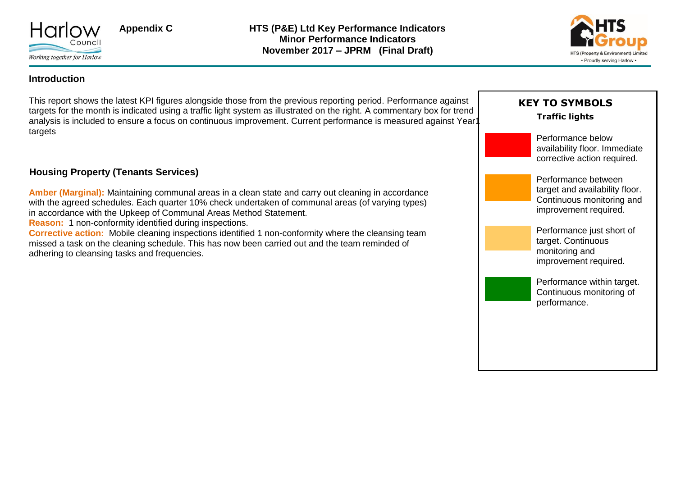



### **Introduction**

This report shows the latest KPI figures alongside those from the previous reporting period. Performance against targets for the month is indicated using a traffic light system as illustrated on the right. A commentary box for trend analysis is included to ensure a focus on continuous improvement. Current performance is measured against Year1 targets

### **Housing Property (Tenants Services)**

**Amber (Marginal):** Maintaining communal areas in a clean state and carry out cleaning in accordance with the agreed schedules. Each quarter 10% check undertaken of communal areas (of varying types) in accordance with the Upkeep of Communal Areas Method Statement.

**Reason:** 1 non-conformity identified during inspections.

**Corrective action:** Mobile cleaning inspections identified 1 non-conformity where the cleansing team missed a task on the cleaning schedule. This has now been carried out and the team reminded of adhering to cleansing tasks and frequencies.

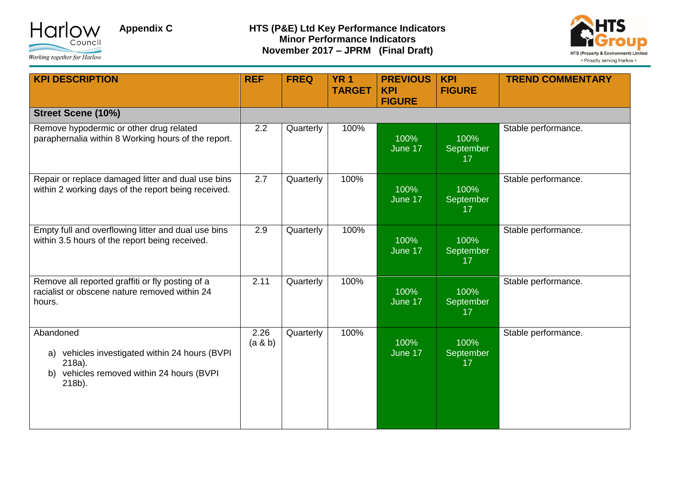



| <b>KPI DESCRIPTION</b>                                                                                                          | <b>REF</b>       | <b>FREQ</b> | <b>YR1</b><br><b>TARGET</b> | <b>PREVIOUS</b><br><b>KPI</b><br><b>FIGURE</b> | <b>KPI</b><br><b>FIGURE</b> | <b>TREND COMMENTARY</b> |
|---------------------------------------------------------------------------------------------------------------------------------|------------------|-------------|-----------------------------|------------------------------------------------|-----------------------------|-------------------------|
| <b>Street Scene (10%)</b>                                                                                                       |                  |             |                             |                                                |                             |                         |
| Remove hypodermic or other drug related<br>paraphernalia within 8 Working hours of the report.                                  | 2.2              | Quarterly   | 100%                        | 100%<br>June 17                                | 100%<br>September<br>17     | Stable performance.     |
| Repair or replace damaged litter and dual use bins<br>within 2 working days of the report being received.                       | $\overline{2.7}$ | Quarterly   | 100%                        | 100%<br>June 17                                | 100%<br>September<br>17     | Stable performance.     |
| Empty full and overflowing litter and dual use bins<br>within 3.5 hours of the report being received.                           | 2.9              | Quarterly   | 100%                        | 100%<br>June 17                                | 100%<br>September<br>17     | Stable performance.     |
| Remove all reported graffiti or fly posting of a<br>racialist or obscene nature removed within 24<br>hours.                     | 2.11             | Quarterly   | 100%                        | 100%<br>June 17                                | 100%<br>September<br>17     | Stable performance.     |
| Abandoned<br>a) vehicles investigated within 24 hours (BVPI<br>218a).<br>vehicles removed within 24 hours (BVPI<br>b)<br>218b). | 2.26<br>(a & b)  | Quarterly   | 100%                        | 100%<br>June 17                                | 100%<br>September<br>17     | Stable performance.     |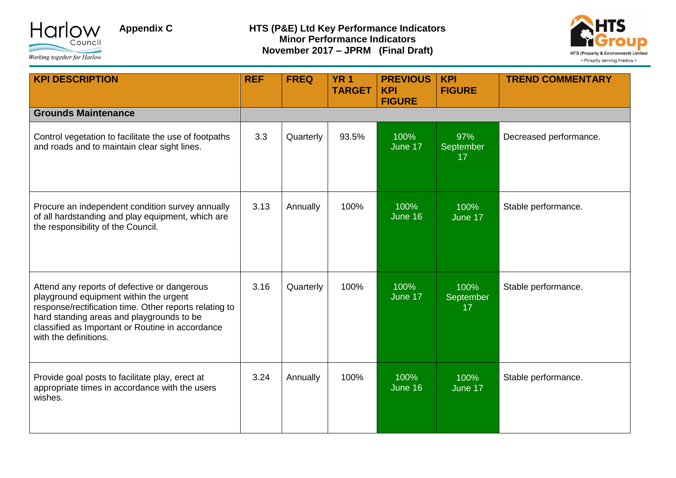



| <b>KPI DESCRIPTION</b>                                                                                                                                                                                                                                                     | <b>REF</b> | <b>FREQ</b> | <b>YR1</b><br><b>TARGET</b> | <b>PREVIOUS</b><br><b>KPI</b><br><b>FIGURE</b> | <b>KPI</b><br><b>FIGURE</b> | <b>TREND COMMENTARY</b> |
|----------------------------------------------------------------------------------------------------------------------------------------------------------------------------------------------------------------------------------------------------------------------------|------------|-------------|-----------------------------|------------------------------------------------|-----------------------------|-------------------------|
| <b>Grounds Maintenance</b>                                                                                                                                                                                                                                                 |            |             |                             |                                                |                             |                         |
| Control vegetation to facilitate the use of footpaths<br>and roads and to maintain clear sight lines.                                                                                                                                                                      | 3.3        | Quarterly   | 93.5%                       | 100%<br>June 17                                | 97%<br>September<br>17      | Decreased performance.  |
| Procure an independent condition survey annually<br>of all hardstanding and play equipment, which are<br>the responsibility of the Council.                                                                                                                                | 3.13       | Annually    | 100%                        | 100%<br>June 16                                | 100%<br>June 17             | Stable performance.     |
| Attend any reports of defective or dangerous<br>playground equipment within the urgent<br>response/rectification time. Other reports relating to<br>hard standing areas and playgrounds to be<br>classified as Important or Routine in accordance<br>with the definitions. | 3.16       | Quarterly   | 100%                        | 100%<br>June 17                                | 100%<br>September<br>17     | Stable performance.     |
| Provide goal posts to facilitate play, erect at<br>appropriate times in accordance with the users<br>wishes.                                                                                                                                                               | 3.24       | Annually    | 100%                        | 100%<br>June 16                                | 100%<br>June 17             | Stable performance.     |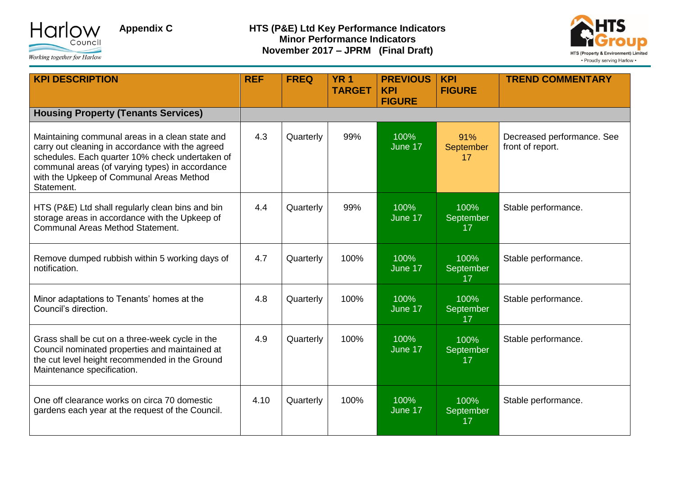



| <b>KPI DESCRIPTION</b>                                                                                                                                                                                                                                              | <b>REF</b> | <b>FREQ</b> | <b>YR 1</b><br><b>TARGET</b> | <b>PREVIOUS</b><br><b>KPI</b><br><b>FIGURE</b> | <b>KPI</b><br><b>FIGURE</b> | <b>TREND COMMENTARY</b>                        |
|---------------------------------------------------------------------------------------------------------------------------------------------------------------------------------------------------------------------------------------------------------------------|------------|-------------|------------------------------|------------------------------------------------|-----------------------------|------------------------------------------------|
| <b>Housing Property (Tenants Services)</b>                                                                                                                                                                                                                          |            |             |                              |                                                |                             |                                                |
| Maintaining communal areas in a clean state and<br>carry out cleaning in accordance with the agreed<br>schedules. Each quarter 10% check undertaken of<br>communal areas (of varying types) in accordance<br>with the Upkeep of Communal Areas Method<br>Statement. | 4.3        | Quarterly   | 99%                          | 100%<br>June 17                                | 91%<br>September<br>17      | Decreased performance. See<br>front of report. |
| HTS (P&E) Ltd shall regularly clean bins and bin<br>storage areas in accordance with the Upkeep of<br>Communal Areas Method Statement.                                                                                                                              | 4.4        | Quarterly   | 99%                          | 100%<br>June 17                                | 100%<br>September<br>17     | Stable performance.                            |
| Remove dumped rubbish within 5 working days of<br>notification.                                                                                                                                                                                                     | 4.7        | Quarterly   | 100%                         | 100%<br>June 17                                | 100%<br>September<br>17     | Stable performance.                            |
| Minor adaptations to Tenants' homes at the<br>Council's direction.                                                                                                                                                                                                  | 4.8        | Quarterly   | 100%                         | 100%<br>June 17                                | 100%<br>September<br>17     | Stable performance.                            |
| Grass shall be cut on a three-week cycle in the<br>Council nominated properties and maintained at<br>the cut level height recommended in the Ground<br>Maintenance specification.                                                                                   | 4.9        | Quarterly   | 100%                         | 100%<br>June 17                                | 100%<br>September<br>17     | Stable performance.                            |
| One off clearance works on circa 70 domestic<br>gardens each year at the request of the Council.                                                                                                                                                                    | 4.10       | Quarterly   | 100%                         | 100%<br>June 17                                | 100%<br>September<br>17     | Stable performance.                            |